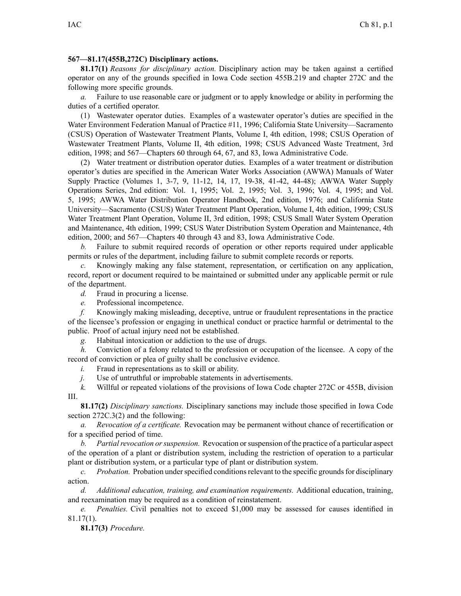## **567—81.17(455B,272C) Disciplinary actions.**

**81.17(1)** *Reasons for disciplinary action.* Disciplinary action may be taken against <sup>a</sup> certified operator on any of the grounds specified in Iowa Code section 455B.219 and chapter 272C and the following more specific grounds.

*a.* Failure to use reasonable care or judgment or to apply knowledge or ability in performing the duties of <sup>a</sup> certified operator.

(1) Wastewater operator duties. Examples of <sup>a</sup> wastewater operator's duties are specified in the Water Environment Federation Manual of Practice #11, 1996; California State University—Sacramento (CSUS) Operation of Wastewater Treatment Plants, Volume I, 4th edition, 1998; CSUS Operation of Wastewater Treatment Plants, Volume II, 4th edition, 1998; CSUS Advanced Waste Treatment, 3rd edition, 1998; and 567—Chapters 60 through 64, 67, and 83, Iowa Administrative Code.

(2) Water treatment or distribution operator duties. Examples of <sup>a</sup> water treatment or distribution operator's duties are specified in the American Water Works Association (AWWA) Manuals of Water Supply Practice (Volumes 1, 3-7, 9, 11-12, 14, 17, 19-38, 41-42, 44-48); AWWA Water Supply Operations Series, 2nd edition: Vol. 1, 1995; Vol. 2, 1995; Vol. 3, 1996; Vol. 4, 1995; and Vol. 5, 1995; AWWA Water Distribution Operator Handbook, 2nd edition, 1976; and California State University—Sacramento (CSUS) Water Treatment Plant Operation, Volume I, 4th edition, 1999; CSUS Water Treatment Plant Operation, Volume II, 3rd edition, 1998; CSUS Small Water System Operation and Maintenance, 4th edition, 1999; CSUS Water Distribution System Operation and Maintenance, 4th edition, 2000; and 567—Chapters 40 through 43 and 83, Iowa Administrative Code.

*b.* Failure to submit required records of operation or other reports required under applicable permits or rules of the department, including failure to submit complete records or reports.

*c.* Knowingly making any false statement, representation, or certification on any application, record, repor<sup>t</sup> or document required to be maintained or submitted under any applicable permit or rule of the department.

*d.* Fraud in procuring <sup>a</sup> license.

*e.* Professional incompetence.

*f.* Knowingly making misleading, deceptive, untrue or fraudulent representations in the practice of the licensee's profession or engaging in unethical conduct or practice harmful or detrimental to the public. Proof of actual injury need not be established.

*g.* Habitual intoxication or addiction to the use of drugs.

*h.* Conviction of a felony related to the profession or occupation of the licensee. A copy of the record of conviction or plea of guilty shall be conclusive evidence.

*i.* Fraud in representations as to skill or ability.

*j.* Use of untruthful or improbable statements in advertisements.

*k.* Willful or repeated violations of the provisions of Iowa Code chapter 272C or 455B, division III.

**81.17(2)** *Disciplinary sanctions.* Disciplinary sanctions may include those specified in Iowa Code section 272C.3(2) and the following:

*a. Revocation of <sup>a</sup> certificate.* Revocation may be permanen<sup>t</sup> without chance of recertification or for <sup>a</sup> specified period of time.

*b. Partialrevocation orsuspension.* Revocation orsuspension of the practice of <sup>a</sup> particular aspec<sup>t</sup> of the operation of <sup>a</sup> plant or distribution system, including the restriction of operation to <sup>a</sup> particular plant or distribution system, or <sup>a</sup> particular type of plant or distribution system.

*c. Probation.* Probation under specified conditions relevant to the specific grounds for disciplinary action.

*d. Additional education, training, and examination requirements.* Additional education, training, and reexamination may be required as <sup>a</sup> condition of reinstatement.

*e. Penalties.* Civil penalties not to exceed \$1,000 may be assessed for causes identified in 81.17(1).

**81.17(3)** *Procedure.*